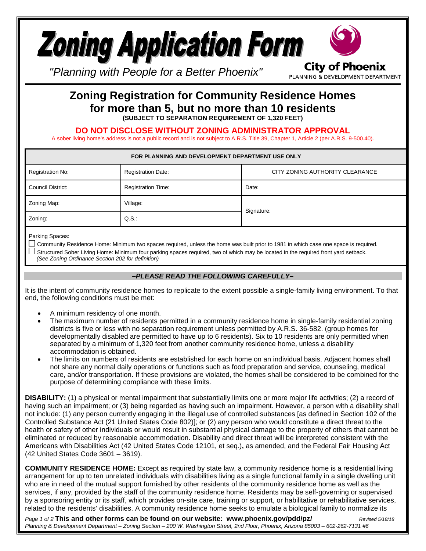

PLANNING & DEVELOPMENT DEPARTMENT

*"Planning with People for a Better Phoenix"*

## **Zoning Registration for Community Residence Homes for more than 5, but no more than 10 residents (SUBJECT TO SEPARATION REQUIREMENT OF 1,320 FEET)**

**DO NOT DISCLOSE WITHOUT ZONING ADMINISTRATOR APPROVAL**

A sober living home's address is not a public record and is not subject to A.R.S. Title 39, Chapter 1, Article 2 (per A.R.S. 9-500.40).

| FOR PLANNING AND DEVELOPMENT DEPARTMENT USE ONLY |                                                              |            |  |  |
|--------------------------------------------------|--------------------------------------------------------------|------------|--|--|
| Registration No:                                 | <b>Registration Date:</b><br>CITY ZONING AUTHORITY CLEARANCE |            |  |  |
| Council District:                                | <b>Registration Time:</b>                                    | Date:      |  |  |
| Zoning Map:                                      | Village:                                                     | Signature: |  |  |
| Zoning:                                          | $Q.S.$ :                                                     |            |  |  |

Parking Spaces:

□ Community Residence Home: Minimum two spaces required, unless the home was built prior to 1981 in which case one space is required.  $□$  Structured Sober Living Home: Minimum four parking spaces required, two of which may be located in the required front yard setback.  *(See Zoning Ordinance Section 202 for definition)*

## *–PLEASE READ THE FOLLOWING CAREFULLY–*

It is the intent of community residence homes to replicate to the extent possible a single-family living environment. To that end, the following conditions must be met:

- A minimum residency of one month.
- The maximum number of residents permitted in a community residence home in single-family residential zoning districts is five or less with no separation requirement unless permitted by A.R.S. 36-582. (group homes for developmentally disabled are permitted to have up to 6 residents). Six to 10 residents are only permitted when separated by a minimum of 1,320 feet from another community residence home, unless a disability accommodation is obtained.
- The limits on numbers of residents are established for each home on an individual basis. Adjacent homes shall not share any normal daily operations or functions such as food preparation and service, counseling, medical care, and/or transportation. If these provisions are violated, the homes shall be considered to be combined for the purpose of determining compliance with these limits.

**DISABILITY:** (1) a physical or mental impairment that substantially limits one or more major life activities; (2) a record of having such an impairment; or (3) being regarded as having such an impairment. However, a person with a disability shall not include: (1) any person currently engaging in the illegal use of controlled substances [as defined in Section [102](http://www.codepublishing.com/az/phoenix/html/PhoenixZ01/PhoenixZ0102.html#102) of the Controlled Substance Act [\(21](http://www.law.cornell.edu/uscode/text/21) United States Code [802\)](http://www.law.cornell.edu/uscode/text/21/802)]; or (2) any person who would constitute a direct threat to the health or safety of other individuals or would result in substantial physical damage to the property of others that cannot be eliminated or reduced by [reasonable accommodation.](https://www.law.cornell.edu/definitions/index.php?width=840&height=800&iframe=true&def_id=e3f2627d443885840d63fe7bb3ca2385&term_occur=13&term_src=Title:29:Subtitle:B:Chapter:XIV:Part:1630:1630.2) Disability and direct threat will be interpreted consistent with the Americans with Disabilities Act (42 United States Code 12101, et seq.)**,** as amended, and the Federal Fair Housing Act (42 United States Code 3601 – 3619).

**COMMUNITY RESIDENCE HOME:** Except as required by state law, a community residence home is a residential living arrangement for up to ten unrelated individuals with disabilities living as a single functional family in a single dwelling unit who are in need of the mutual support furnished by other residents of the community residence home as well as the services, if any, provided by the staff of the community residence home. Residents may be self-governing or supervised by a sponsoring entity or its staff, which provides on-site care, training or support, or habilitative or rehabilitative services, related to the residents' disabilities. A community residence home seeks to emulate a biological family to normalize its

*Page 1 of 2* **This and other forms can be found on our website: www.phoenix.gov/pdd/pz/** *Revised 5/18/18 Planning & Development Department – Zoning Section – 200 W. Washington Street, 2nd Floor, Phoenix, Arizona 85003 – 602-262-7131 #6*